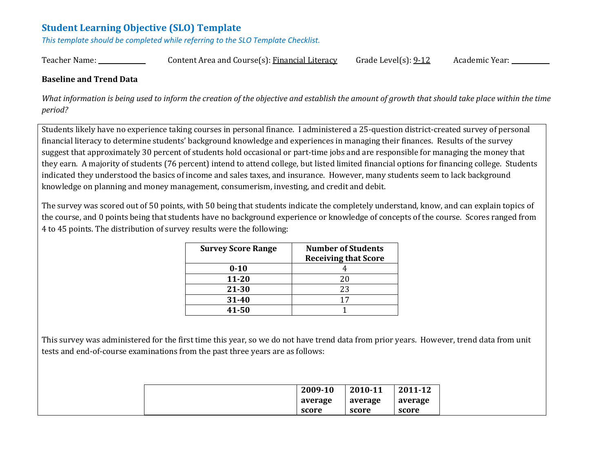# **Student Learning Objective (SLO) Template**

*This template should be completed while referring to the SLO Template Checklist.*

Teacher Name: \_\_\_\_\_\_\_\_\_\_\_\_\_\_\_\_\_\_\_\_\_\_\_\_Content Area and Course(s): Financial Literacy Grade Level(s): 9-12 Academic Year: \_\_\_\_\_\_\_\_\_\_\_\_\_

#### **Baseline and Trend Data**

What information is being used to inform the creation of the objective and establish the amount of growth that should take place within the time *period?* 

Students likely have no experience taking courses in personal finance. I administered a 25-question district-created survey of personal financial literacy to determine students' background knowledge and experiences in managing their finances. Results of the survey suggest that approximately 30 percent of students hold occasional or part-time jobs and are responsible for managing the money that they earn. A majority of students (76 percent) intend to attend college, but listed limited financial options for financing college. Students indicated they understood the basics of income and sales taxes, and insurance. However, many students seem to lack background knowledge on planning and money management, consumerism, investing, and credit and debit.

The survey was scored out of 50 points, with 50 being that students indicate the completely understand, know, and can explain topics of the course, and 0 points being that students have no background experience or knowledge of concepts of the course. Scores ranged from 4 to 45 points. The distribution of survey results were the following:

| <b>Survey Score Range</b> | <b>Number of Students</b><br><b>Receiving that Score</b> |
|---------------------------|----------------------------------------------------------|
| $0 - 10$                  |                                                          |
| $11 - 20$                 | 20                                                       |
| 21-30                     | 23                                                       |
| 31-40                     | 17                                                       |
| 41-50                     |                                                          |

This survey was administered for the first time this year, so we do not have trend data from prior years. However, trend data from unit tests and end-of-course examinations from the past three years are as follows:

|  | 2009-10 | 2010-11 | 2011-12 |
|--|---------|---------|---------|
|  | average | average | average |
|  | score   | score   | score   |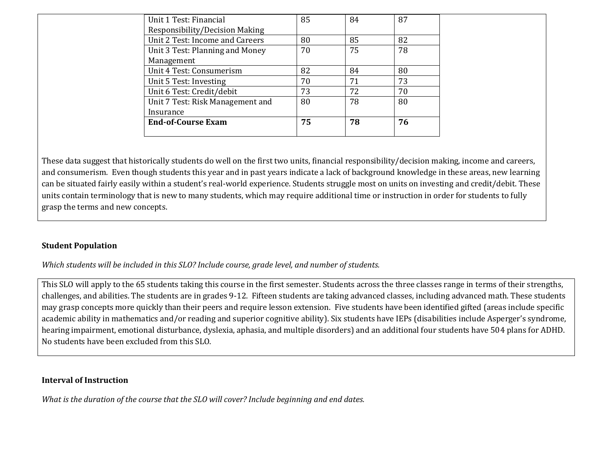| Unit 1 Test: Financial           | 85 | 84 | 87 |  |
|----------------------------------|----|----|----|--|
| Responsibility/Decision Making   |    |    |    |  |
| Unit 2 Test: Income and Careers  | 80 | 85 | 82 |  |
| Unit 3 Test: Planning and Money  | 70 | 75 | 78 |  |
| Management                       |    |    |    |  |
| Unit 4 Test: Consumerism         | 82 | 84 | 80 |  |
| Unit 5 Test: Investing           | 70 | 71 | 73 |  |
| Unit 6 Test: Credit/debit        | 73 | 72 | 70 |  |
| Unit 7 Test: Risk Management and | 80 | 78 | 80 |  |
| Insurance                        |    |    |    |  |
| <b>End-of-Course Exam</b>        | 75 | 78 | 76 |  |
|                                  |    |    |    |  |

These data suggest that historically students do well on the first two units, financial responsibility/decision making, income and careers, and consumerism. Even though students this year and in past years indicate a lack of background knowledge in these areas, new learning can be situated fairly easily within a student's real-world experience. Students struggle most on units on investing and credit/debit. These units contain terminology that is new to many students, which may require additional time or instruction in order for students to fully grasp the terms and new concepts.

#### **Student Population**

*Which students will be included in this SLO? Include course, grade level, and number of students.*

This SLO will apply to the 65 students taking this course in the first semester. Students across the three classes range in terms of their strengths, challenges, and abilities. The students are in grades 9-12. Fifteen students are taking advanced classes, including advanced math. These students may grasp concepts more quickly than their peers and require lesson extension. Five students have been identified gifted (areas include specific academic ability in mathematics and/or reading and superior cognitive ability). Six students have IEPs (disabilities include Asperger's syndrome, hearing impairment, emotional disturbance, dyslexia, aphasia, and multiple disorders) and an additional four students have 504 plans for ADHD. No students have been excluded from this SLO.

#### **Interval of Instruction**

*What is the duration of the course that the SLO will cover? Include beginning and end dates.*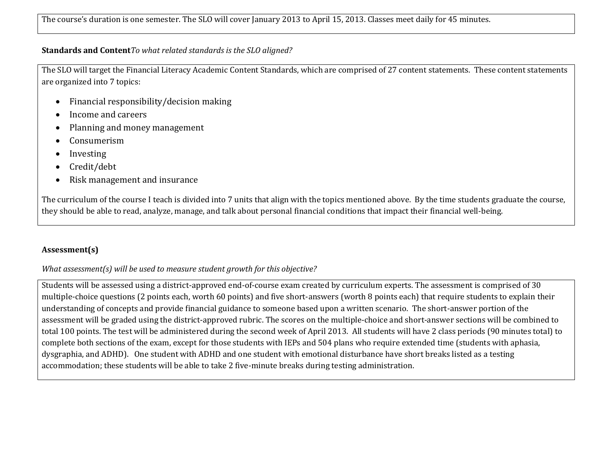#### **Standards and Content***To what related standards is the SLO aligned?*

The SLO will target the Financial Literacy Academic Content Standards, which are comprised of 27 content statements. These content statements are organized into 7 topics:

- Financial responsibility/decision making
- Income and careers
- Planning and money management
- Consumerism
- Investing
- Credit/debt
- Risk management and insurance

The curriculum of the course I teach is divided into 7 units that align with the topics mentioned above. By the time students graduate the course, they should be able to read, analyze, manage, and talk about personal financial conditions that impact their financial well-being.

## **Assessment(s)**

## *What assessment(s) will be used to measure student growth for this objective?*

Students will be assessed using a district-approved end-of-course exam created by curriculum experts. The assessment is comprised of 30 multiple-choice questions (2 points each, worth 60 points) and five short-answers (worth 8 points each) that require students to explain their understanding of concepts and provide financial guidance to someone based upon a written scenario. The short-answer portion of the assessment will be graded using the district-approved rubric. The scores on the multiple-choice and short-answer sections will be combined to total 100 points. The test will be administered during the second week of April 2013. All students will have 2 class periods (90 minutes total) to complete both sections of the exam, except for those students with IEPs and 504 plans who require extended time (students with aphasia, dysgraphia, and ADHD). One student with ADHD and one student with emotional disturbance have short breaks listed as a testing accommodation; these students will be able to take 2 five-minute breaks during testing administration.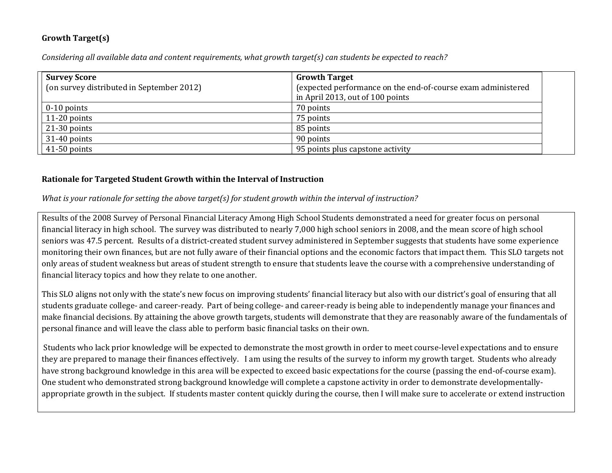## **Growth Target(s)**

*Considering all available data and content requirements, what growth target(s) can students be expected to reach?* 

| <b>Survey Score</b>                       | <b>Growth Target</b>                                         |  |
|-------------------------------------------|--------------------------------------------------------------|--|
| (on survey distributed in September 2012) | (expected performance on the end-of-course exam administered |  |
|                                           | in April 2013, out of 100 points                             |  |
| $0-10$ points                             | 70 points                                                    |  |
| $11-20$ points                            | 75 points                                                    |  |
| $21-30$ points                            | 85 points                                                    |  |
| $31-40$ points                            | 90 points                                                    |  |
| $41-50$ points                            | 95 points plus capstone activity                             |  |

### **Rationale for Targeted Student Growth within the Interval of Instruction**

*What is your rationale for setting the above target(s) for student growth within the interval of instruction?*

Results of the 2008 Survey of Personal Financial Literacy Among High School Students demonstrated a need for greater focus on personal financial literacy in high school. The survey was distributed to nearly 7,000 high school seniors in 2008, and the mean score of high school seniors was 47.5 percent. Results of a district-created student survey administered in September suggests that students have some experience monitoring their own finances, but are not fully aware of their financial options and the economic factors that impact them. This SLO targets not only areas of student weakness but areas of student strength to ensure that students leave the course with a comprehensive understanding of financial literacy topics and how they relate to one another.

This SLO aligns not only with the state's new focus on improving students' financial literacy but also with our district's goal of ensuring that all students graduate college- and career-ready. Part of being college- and career-ready is being able to independently manage your finances and make financial decisions. By attaining the above growth targets, students will demonstrate that they are reasonably aware of the fundamentals of personal finance and will leave the class able to perform basic financial tasks on their own.

Students who lack prior knowledge will be expected to demonstrate the most growth in order to meet course-level expectations and to ensure they are prepared to manage their finances effectively. I am using the results of the survey to inform my growth target. Students who already have strong background knowledge in this area will be expected to exceed basic expectations for the course (passing the end-of-course exam). One student who demonstrated strong background knowledge will complete a capstone activity in order to demonstrate developmentallyappropriate growth in the subject. If students master content quickly during the course, then I will make sure to accelerate or extend instruction